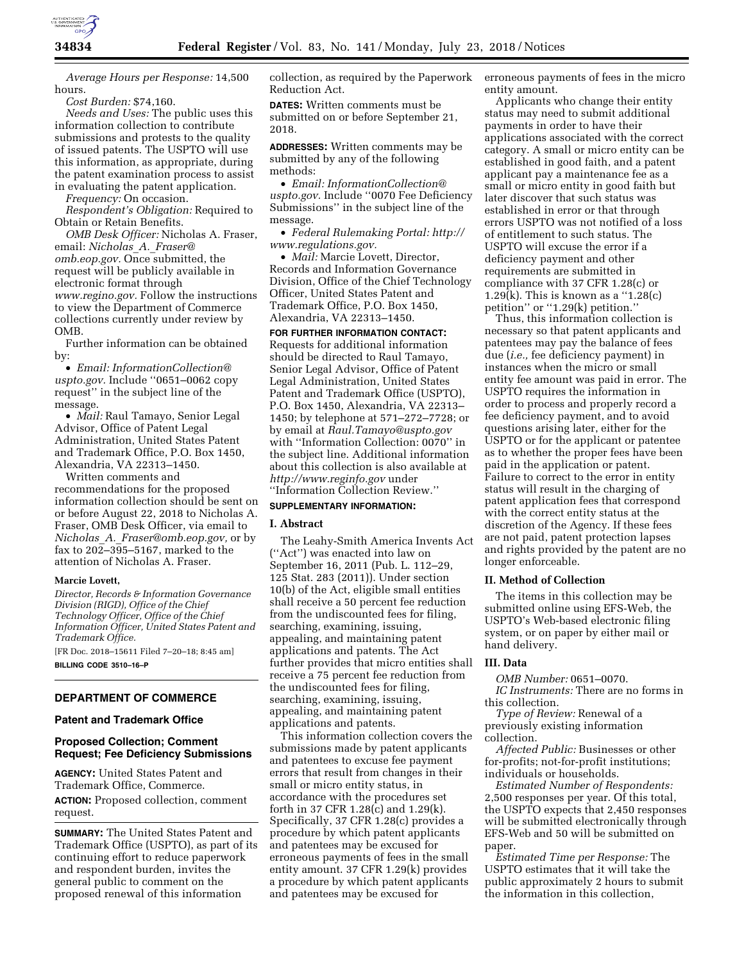

*Average Hours per Response:* 14,500 hours.

*Cost Burden:* \$74,160.

*Needs and Uses:* The public uses this information collection to contribute submissions and protests to the quality of issued patents. The USPTO will use this information, as appropriate, during the patent examination process to assist in evaluating the patent application.

*Frequency:* On occasion. *Respondent's Obligation:* Required to

Obtain or Retain Benefits. *OMB Desk Officer:* Nicholas A. Fraser, email: *[Nicholas](mailto:Nicholas_A._Fraser@omb.eop.gov)*\_*A.*\_*Fraser@ [omb.eop.gov.](mailto:Nicholas_A._Fraser@omb.eop.gov)* Once submitted, the request will be publicly available in electronic format through *[www.regino.gov.](http://www.regino.gov)* Follow the instructions to view the Department of Commerce collections currently under review by OMB.

Further information can be obtained by:

• *Email: [InformationCollection@](mailto:InformationCollection@uspto.gov) [uspto.gov.](mailto:InformationCollection@uspto.gov)* Include ''0651–0062 copy request'' in the subject line of the message.

• *Mail:* Raul Tamayo, Senior Legal Advisor, Office of Patent Legal Administration, United States Patent and Trademark Office, P.O. Box 1450, Alexandria, VA 22313–1450.

Written comments and recommendations for the proposed information collection should be sent on or before August 22, 2018 to Nicholas A. Fraser, OMB Desk Officer, via email to *Nicholas*\_*A.*\_*[Fraser@omb.eop.gov,](mailto:Nicholas_A._Fraser@omb.eop.gov)* or by fax to 202–395–5167, marked to the attention of Nicholas A. Fraser.

# **Marcie Lovett,**

*Director, Records & Information Governance Division (RIGD), Office of the Chief Technology Officer, Office of the Chief Information Officer, United States Patent and Trademark Office.* 

[FR Doc. 2018–15611 Filed 7–20–18; 8:45 am] **BILLING CODE 3510–16–P** 

## **DEPARTMENT OF COMMERCE**

#### **Patent and Trademark Office**

# **Proposed Collection; Comment Request; Fee Deficiency Submissions**

**AGENCY:** United States Patent and Trademark Office, Commerce. **ACTION:** Proposed collection, comment request.

**SUMMARY:** The United States Patent and Trademark Office (USPTO), as part of its continuing effort to reduce paperwork and respondent burden, invites the general public to comment on the proposed renewal of this information

collection, as required by the Paperwork Reduction Act.

**DATES:** Written comments must be submitted on or before September 21, 2018.

**ADDRESSES:** Written comments may be submitted by any of the following methods:

• *Email: [InformationCollection@](mailto:InformationCollection@uspto.gov) [uspto.gov.](mailto:InformationCollection@uspto.gov)* Include ''0070 Fee Deficiency Submissions'' in the subject line of the message.

• *Federal Rulemaking Portal: [http://](http://www.regulations.gov) [www.regulations.gov.](http://www.regulations.gov)* 

• *Mail:* Marcie Lovett, Director, Records and Information Governance Division, Office of the Chief Technology Officer, United States Patent and Trademark Office, P.O. Box 1450, Alexandria, VA 22313–1450.

# **FOR FURTHER INFORMATION CONTACT:**

Requests for additional information should be directed to Raul Tamayo, Senior Legal Advisor, Office of Patent Legal Administration, United States Patent and Trademark Office (USPTO), P.O. Box 1450, Alexandria, VA 22313– 1450; by telephone at 571–272–7728; or by email at *[Raul.Tamayo@uspto.gov](mailto:Raul.Tamayo@uspto.gov)*  with ''Information Collection: 0070'' in the subject line. Additional information about this collection is also available at *<http://www.reginfo.gov>* under ''Information Collection Review.''

# **SUPPLEMENTARY INFORMATION:**

#### **I. Abstract**

The Leahy-Smith America Invents Act (''Act'') was enacted into law on September 16, 2011 (Pub. L. 112–29, 125 Stat. 283 (2011)). Under section 10(b) of the Act, eligible small entities shall receive a 50 percent fee reduction from the undiscounted fees for filing, searching, examining, issuing, appealing, and maintaining patent applications and patents. The Act further provides that micro entities shall receive a 75 percent fee reduction from the undiscounted fees for filing, searching, examining, issuing, appealing, and maintaining patent applications and patents.

This information collection covers the submissions made by patent applicants and patentees to excuse fee payment errors that result from changes in their small or micro entity status, in accordance with the procedures set forth in 37 CFR 1.28(c) and 1.29(k). Specifically, 37 CFR 1.28(c) provides a procedure by which patent applicants and patentees may be excused for erroneous payments of fees in the small entity amount. 37 CFR 1.29(k) provides a procedure by which patent applicants and patentees may be excused for

erroneous payments of fees in the micro entity amount.

Applicants who change their entity status may need to submit additional payments in order to have their applications associated with the correct category. A small or micro entity can be established in good faith, and a patent applicant pay a maintenance fee as a small or micro entity in good faith but later discover that such status was established in error or that through errors USPTO was not notified of a loss of entitlement to such status. The USPTO will excuse the error if a deficiency payment and other requirements are submitted in compliance with 37 CFR 1.28(c) or 1.29 $(k)$ . This is known as a "1.28 $(c)$ petition" or "1.29(k) petition."

Thus, this information collection is necessary so that patent applicants and patentees may pay the balance of fees due (*i.e.,* fee deficiency payment) in instances when the micro or small entity fee amount was paid in error. The USPTO requires the information in order to process and properly record a fee deficiency payment, and to avoid questions arising later, either for the USPTO or for the applicant or patentee as to whether the proper fees have been paid in the application or patent. Failure to correct to the error in entity status will result in the charging of patent application fees that correspond with the correct entity status at the discretion of the Agency. If these fees are not paid, patent protection lapses and rights provided by the patent are no longer enforceable.

## **II. Method of Collection**

The items in this collection may be submitted online using EFS-Web, the USPTO's Web-based electronic filing system, or on paper by either mail or hand delivery.

### **III. Data**

*OMB Number:* 0651–0070. *IC Instruments:* There are no forms in this collection.

*Type of Review:* Renewal of a previously existing information collection.

*Affected Public:* Businesses or other for-profits; not-for-profit institutions; individuals or households.

*Estimated Number of Respondents:*  2,500 responses per year. Of this total, the USPTO expects that 2,450 responses will be submitted electronically through EFS-Web and 50 will be submitted on paper.

*Estimated Time per Response:* The USPTO estimates that it will take the public approximately 2 hours to submit the information in this collection,